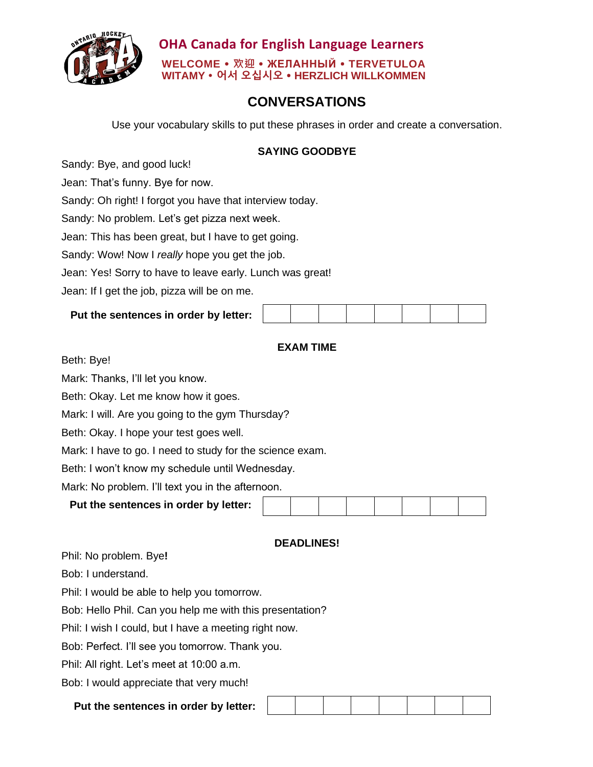

 **OHA Canada for English Language Learners WELCOME 欢迎 ЖЕЛАННЫЙ TERVETULOA WITAMY 어서 오십시오 HERZLICH WILLKOMMEN**

# **CONVERSATIONS**

Use your vocabulary skills to put these phrases in order and create a conversation.

### **SAYING GOODBYE**

Sandy: Bye, and good luck!

Jean: That's funny. Bye for now.

Sandy: Oh right! I forgot you have that interview today.

Sandy: No problem. Let's get pizza next week.

Jean: This has been great, but I have to get going.

Sandy: Wow! Now I *really* hope you get the job.

Jean: Yes! Sorry to have to leave early. Lunch was great!

Jean: If I get the job, pizza will be on me.

## **Put the sentences in order by letter:**

## **EXAM TIME**

Beth: Bye!

Mark: Thanks, I'll let you know.

Beth: Okay. Let me know how it goes.

Mark: I will. Are you going to the gym Thursday?

Beth: Okay. I hope your test goes well.

Mark: I have to go. I need to study for the science exam.

Beth: I won't know my schedule until Wednesday.

Mark: No problem. I'll text you in the afternoon.

| Put the sentences in order by letter: |  |  |  |  |  |  |  |  |
|---------------------------------------|--|--|--|--|--|--|--|--|
|---------------------------------------|--|--|--|--|--|--|--|--|

#### **DEADLINES!**

Phil: No problem. Bye**!**

Bob: I understand.

Phil: I would be able to help you tomorrow.

Bob: Hello Phil. Can you help me with this presentation?

Phil: I wish I could, but I have a meeting right now.

Bob: Perfect. I'll see you tomorrow. Thank you.

Phil: All right. Let's meet at 10:00 a.m.

Bob: I would appreciate that very much!

#### **Put the sentences in order by letter:**